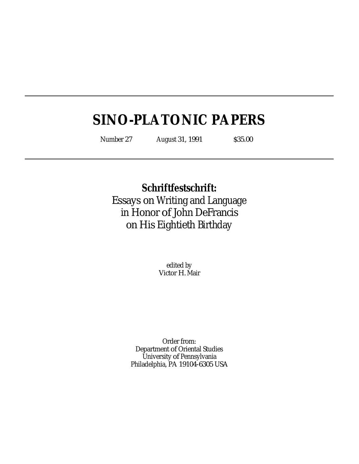# **SINO-PLATONIC PAPERS**

Number 27 August 31, 1991 \$35.00

**Schriftfestschrift:** Essays on Writing and Language in Honor of John DeFrancis on His Eightieth Birthday

> edited by Victor H. Mair

Order from: Department of Oriental Studies University of Pennsylvania Philadelphia, PA 19104-6305 USA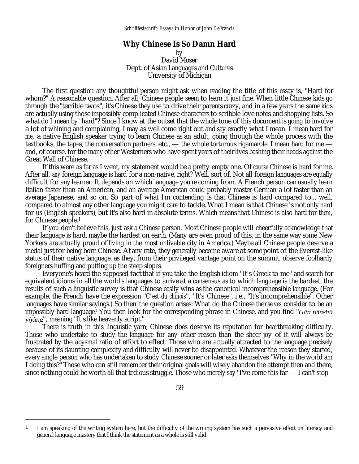## **Why Chinese Is So Damn Hard**

by David Moser Dept. of Asian Languages and Cultures University of Michigan

The first question any thoughtful person might ask when reading the title of this essay is, "Hard for whom?" A reasonable question. After all, Chinese people seem to learn it just fine. When little Chinese kids go through the "terrible twos", it's Chinese they use to drive their parents crazy, and in a few years the same kids are actually using those impossibly complicated Chinese characters to scribble love notes and shopping lists. So what do I mean by "hard"? Since I know at the outset that the whole tone of this document is going to involve a lot of whining and complaining, I may as well come right out and say exactly what I mean. I mean hard for *me*, a native English speaker trying to learn Chinese as an adult, going through the whole process with the textbooks, the tapes, the conversation partners, etc., — the whole torturous rigamarole. I mean hard for me and, of course, for the many other Westerners who have spent years of their lives bashing their heads against the Great Wall of Chinese.

If this were as far as I went, my statement would be a pretty empty one. Of *course* Chinese is hard for me. After all, *any* foreign language is hard for a non-native, right? Well, sort of. Not all foreign languages are equally difficult for any learner. It depends on which language you're coming from. A French person can usually learn Italian faster than an American, and an average American could probably master German a lot faster than an average Japanese, and so on. So part of what I'm contending is that Chinese is hard compared to... well, compared to almost any other language you might care to tackle. What I mean is that Chinese is not only hard for us (English speakers), but it's also hard in absolute terms. Which means that Chinese is also hard for *them*, for Chinese people.1

If you don't believe this, just ask a Chinese person. Most Chinese people will cheerfully acknowledge that their language is hard, maybe the hardest on earth. (Many are even proud of this, in the same way some New Yorkers are actually proud of living in the most unlivable city in America.) Maybe all Chinese people deserve a medal just for being born Chinese. At any rate, they generally become aware at some point of the Everest-like status of their native language, as they, from their privileged vantage point on the summit, observe foolhardy foreigners huffing and puffing up the steep slopes.

Everyone's heard the supposed fact that if you take the English idiom "It's Greek to me" and search for equivalent idioms in all the world's languages to arrive at a consensus as to which language is the bardest, the results of such a linguistic survey is that Chinese easily wins as the canonical incomprehensible language. (For example, the French have the expression "*C'est du chinois*", "It's Chinese", i.e., "It's incomprehensible". Other languages have similar sayings.) So then the question arises: What do the Chinese *themselves* consider to be an impossibly hard language? You then look for the corresponding phrase in Chinese, and you find " $G\bar{\epsilon}n$  tianshu ", meaning "It's like heavenly script."

There is truth in this linguistic yarn; Chinese does deserve its reputation for heartbreaking difficulty. Those who undertake to study the language for any other reason than the sheer joy of it will always be frustrated by the abysmal ratio of effort to effect. Those who are actually attracted to the language precisely because of its daunting complexity and difficulty will never be disappointed. Whatever the reason they started, every single person who has undertaken to study Chinese sooner or later asks themselves "Why in the world am I doing this?" Those who can still remember their original goals will wisely abandon the attempt then and there, since nothing could be worth all that tedious struggle. Those who merely say "I've come this far — I can't stop

<sup>1</sup> I am speaking of the writing system here, but the difficulty of the writing system has such a pervasive effect on literacy and general language mastery that I think the statement as a whole is still valid.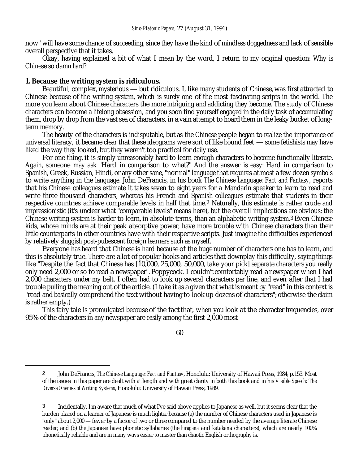now" will have some chance of succeeding, since they have the kind of mindless doggedness and lack of sensible overall perspective that it takes.

Okay, having explained a bit of what I mean by the word, I return to my original question: Why is Chinese so damn *hard*?

## **1. Because the writing system is ridiculous.**

Beautiful, complex, mysterious — but ridiculous. I, like many students of Chinese, was first attracted to Chinese because of the writing system, which is surely one of the most fascinating scripts in the world. The more you learn about Chinese characters the more intriguing and addicting they become. The study of Chinese characters can become a lifelong obsession, and you soon find yourself engaged in the daily task of accumulating them, drop by drop from the vast sea of characters, in a vain attempt to hoard them in the leaky bucket of longterm memory.

The beauty of the characters is indisputable, but as the Chinese people began to realize the importance of universal literacy, it became clear that these ideograms were sort of like bound feet — some fetishists may have liked the way they looked, but they weren't too practical for daily use.

For one thing, it is simply unreasonably hard to learn enough characters to become functionally literate. Again, someone may ask "Hard in comparison to what?" And the answer is easy: Hard in comparison to Spanish, Greek, Russian, Hindi, or any other sane, "normal" language that requires at most a few dozen symbols to write anything in the language. John DeFrancis, in his book *The Chinese Language: Fact and Fantasy*, reports that his Chinese colleagues estimate it takes seven to eight years for a Mandarin speaker to learn to read and write three thousand characters, whereas his French and Spanish colleagues estimate that students in their respective countries achieve comparable levels in half that time.2 Naturally, this estimate is rather crude and impressionistic (it's unclear what "comparable levels" means here), but the overall implications are obvious: the Chinese writing system is harder to learn, in absolute terms, than an alphabetic writing system.3 Even Chinese kids, whose minds are at their peak absorptive power, have more trouble with Chinese characters than their little counterparts in other countries have with their respective scripts. Just imagine the difficulties experienced by relatively sluggish post-pubescent foreign learners such as myself.

Everyone has heard that Chinese is hard because of the huge number of characters one has to learn, and this is absolutely true. There are a lot of popular books and articles that downplay this difficulty, saying things like "Despite the fact that Chinese has [10,000, 25,000, 50,000, take your pick] separate characters you really only need 2,000 or so to read a newspaper". Poppycock. I couldn't comfortably read a newspaper when I had 2,000 characters under my belt. I often had to look up several characters per line, and even after that I had trouble pulling the meaning out of the article. (I take it as a given that what is meant by "read" in this context is "read and basically comprehend the text without having to look up dozens of characters"; otherwise the claim is rather empty.)

This fairy tale is promulgated because of the fact that, when you look at the character frequencies, over 95% of the characters in any newspaper are easily among the first 2,000 most

60

<sup>2</sup> John DeFrancis, *The Chinese Language: Fact and Fantasy*, Honolulu: University of Hawaii Press, 1984, p.153. Most of the issues in this paper are dealt with at length and with great clarity in both this book and in his *Visible Speech: The Diverse Oneness of Writing Systems*, Honolulu: University of Hawaii Press, 1989.

<sup>3</sup> Incidentally, I'm aware that much of what I've said above applies to Japanese as well, but it seems clear that the burden placed on a learner of Japanese is much lighter because (a) the number of Chinese characters used in Japanese is "only" about 2,000 — fewer by a factor of two or three compared to the number needed by the average literate Chinese reader; and (b) the Japanese have phonetic syllabaries (the *hiragana* and *katakana* characters), which are nearly 100% phonetically reliable and are in many ways easier to master than chaotic English orthography is.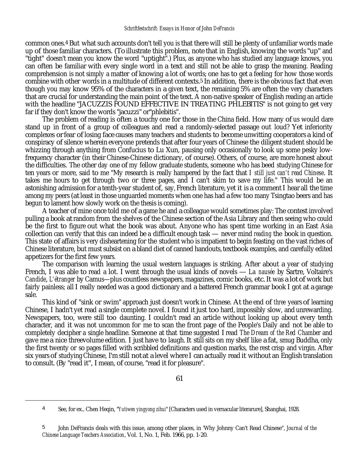common ones.4 But what such accounts don't tell you is that there will still be plenty of unfamiliar words made up of those familiar characters. (To illustrate this problem, note that in English, knowing the words "up" and "tight" doesn't mean you know the word "uptight".) Plus, as anyone who has studied any language knows, you can often be familiar with every single word in a text and still not be able to grasp the meaning. Reading comprehension is not simply a matter of knowing a lot of words; one has to get a feeling for how those words combine with other words in a multitude of different contexts.5 In addition, there is the obvious fact that even though you may know 95% of the characters in a given text, the remaining 5% are often the very characters that are crucial for understanding the main point of the text. A non-native speaker of English reading an article with the headline "JACUZZIS FOUND EFFECTIVE IN TREATING PHLEBITIS" is not going to get very far if they don't know the words "jacuzzi" or"phlebitis".

The problem of reading is often a touchy one for those in the China field. How many of us would dare stand up in front of a group of colleagues and read a randomly-selected passage out loud? Yet inferiority complexes or fear of losing face causes many teachers and students to become unwitting cooperators a kind of conspiracy of silence wherein everyone pretends that after four years of Chinese the diligent student should be whizzing through anything from Confucius to Lu Xun, pausing only occasionally to look up some pesky lowfrequency character (in their Chinese-Chinese dictionary, of course). Others, of course, are more honest about the difficulties. The other day one of my fellow graduate students, someone who has beed studying Chinese for ten years or more, said to me "My research is really hampered by the fact that *I still just can't read Chinese*. It takes me hours to get through two or three pages, and I can't skim to save my life." This would be an astonishing admission for a tenth-year student of, say, French literature, yet it is a comment I hear all the time among my peers (at least in those unguarded moments when one has had a few too many Tsingtao beers and has begun to lament how slowly work on the thesis is coming).

A teacher of mine once told me of a game he and a colleague would sometimes play: The contest involved pulling a book at random from the shelves of the Chinese section of the Asia Library and then seeing who could be the first to figure out what the book was about. Anyone who has spent time working in an East Asia collection can verify that this can indeed be a difficult enough task — never mind *reading* the book in question. This state of affairs is very disheartening for the student who is impatient to begin feasting on the vast riches of Chinese literature, but must subsist on a bland diet of canned handouts, textbook examples, and carefully edited appetizers for the first few years.

The comparison with learning the usual western languages is striking. After about a year of studying French, I was able to read a lot. I went through the usual kinds of novels — *La nausée* by Sartre, Voltaire's *Candide*, *L'étranger* by Camus—plus countless newspapers, magazines, comic books, etc. It was a lot of work but fairly painless; all I really needed was a good dictionary and a battered French grammar book I got at a garage sale.

This kind of "sink or swim" approach just doesn't work in Chinese. At the end of *three* years of learning Chinese, I hadn't yet read a single complete novel. I found it just too hard, impossibly slow, and unrewarding. Newspapers, too, were still too daunting. I couldn't read an article without looking up about every tenth character, and it was not uncommon for me to scan the front page of the People's Daily and not be able to completely decipher a single headline. Someone at that time suggested I read *The Dream of the Red Chamber* and gave me a nice threevolume edition. I just have to laugh. It still sits on my shelf like a fat, smug Buddha, only the first twenty or so pages filled with scribbled definitions and question marks, the rest crisp and virgin. After six years of studying Chinese, I'm still not at a level where I can actually read it without an English translation to consult. (By "read it", I mean, of course, "read it for pleasure".

<sup>4</sup> See, for ex., Chen Heqin, "*Yutiwen yingyong zihui*" [Characters used in vernacular literarure], Shanghai, 1928.

<sup>5</sup> John DeFrancis deals with this issue, among other places, in 'Why Johnny Can't Read Chinese", *Journal of the Chinese Language Teachers Association*, Vol. 1, No. 1, Feb. 1966, pp. 1-20.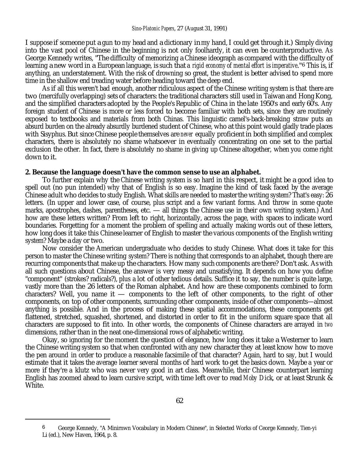I suppose if someone put a gun to my head and a dictionary in my hand, I could get through it.) Simply diving into the vast pool of Chinese in the beginning is not only foolhardy, it can even be counterproductive. As George Kennedy writes, "The difficulty of memorizing a Chinese ideograph as compared with the difficulty of learning a new word in a European language, is such that *a rigid economy of mental effort is imperative*."6 This is, if anything, an understatement. With the risk of drowning so great, the student is better advised to spend more time in the shallow end treading water before heading toward the deep end.

As if all this weren't bad enough, another ridiculous aspect of the Chinese writing system is that there are two (mercifully overlapping) sets of characters: the traditional characters still used in Taiwan and Hong Kong, and the simplified characters adopted by the People's Republic of China in the late 1950's and early 60's. Any foreign student of Chinese is more or less forced to become familiar with both sets, since they are routinely exposed to textbooks and materials from both Chinas. This linguistic camel's-back-breaking straw puts an absurd burden on the already absurdly burdened student of Chinese, who at this point would gladly trade places with Sisyphus. But since Chinese people themselves are *never* equally proficient in both simplified and complex characters, there is absolutely no shame whatsoever in eventually concentrating on one set to the partial exclusion the other. In fact, there is absolutely no shame in giving up Chinese altogether, when you come right down to it.

#### **2. Because the language doesn't have the common sense to use an alphabet.**

To further explain why the Chinese writing system is so hard in this respect, it might be a good idea to spell out (no pun intended) why that of English is so easy. Imagine the kind of task faced by the average Chinese adult who decides to study English. What skills are needed to master the writing system? That's easy: 26 letters. (In upper and lower case, of course, plus script and a few variant forms. And throw in some quote marks, apostrophes, dashes, parentheses, etc. — all things the Chinese use in their own writing system.) And how are these letters written? From left to right, horizontally, across the page, with spaces to indicate word boundaries. Forgetting for a moment the problem of spelling and actually making words out of these letters, how long does it take this Chinese learner of English to master the various components of the English writing system? Maybe a day or two.

Now consider the American undergraduate who decides to study Chinese. What does it take for this person to master the Chinese writing system? There is nothing that corresponds to an alphabet, though there are recurring components that make up the characters. How many such components are there? Don't ask. As with all such questions about Chinese, the answer is very messy and unsatisfying. It depends on how you define "component" (strokes? radicals?), plus a lot of other tedious details. Suffice it to say, the number is quite large, vastly more than the 26 letters of the Roman alphabet. And how are these components combined to form characters? Well, you name it  $-$  components to the left of other components, to the right of other components, on top of other components, surrounding other components, inside of other components—almost anything is possible. And in the process of making these spatial accommodations, these components get flattened, stretched, squashed, shortened, and distorted in order to fit in the uniform square space that all characters are supposed to fit into. In other words, the components of Chinese characters are arrayed in *two* dimensions, rather than in the neat one-dimensional rows of alphabetic writing.

Okay, so ignoring for the moment the question of elegance, how long does it take a Westerner to learn the Chinese writing system so that when confronted with any new character they at least know how to move the pen around in order to produce a reasonable facsimile of that character? Again, hard to say, but I would estimate that it takes the average learner several months of hard work to get the basics down. Maybe a year or more if they're a klutz who was never very good in art class. Meanwhile, their Chinese counterpart learning English has zoomed ahead to learn cursive script, with time left over to read *Moby Dick*, or at least Strunk & White.

<sup>6</sup> George Kennedy, "A Minirnwn Vocabulary in Modern Chinese", in Selected Works of Ceorge Kennedy, Tien-yi Li (ed.), New Haven, 1964, p. 8.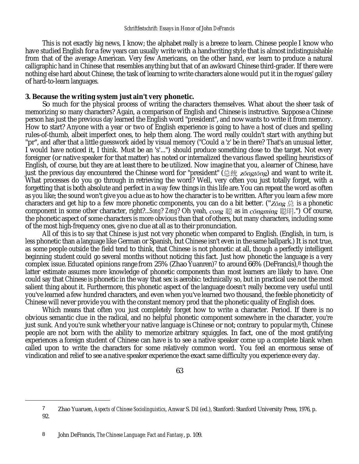This is not exactly big news, I know; the alphabet really is a breeze to learn. Chinese people I know who have studied English for a few years can usually write with a handwriting style that is almost indistinguishable from that of the average American. Very few Americans, on the other hand, *ever* learn to produce a natural calligraphic hand in Chinese that resembles anything but that of an awkward Chinese third-grader. If there were nothing else hard about Chinese, the task of learning to write characters alone would put it in the rogues' gallery of hard-to-learn languages.

## **3. Because the writing system just ain't very phonetic.**

So much for the physical process of writing the characters themselves. What about the sheer task of memorizing so many characters? Again, a comparison of English and Chinese is instructive. Suppose a Chinese person has just the previous day learned the English word "president", and now wants to write it from memory. How to start? Anyone with a year or two of English experience is going to have a host of clues and spelling rules-of-thumb, albeit imperfect ones, to help them along. The word really couldn't start with anything but "pr", and after that a little guesswork aided by visual memory ("Could a 'z' be in there? That's an unusual letter, I would have noticed it, I think. Must be an 's'...") should produce something close to the target. Not every foreigner (or native speaker for that matter) has noted or internalized the various flawed spelling heuristics of English, of course, but they are at least there to be utilized. Now imagine that you, a learner of Chinese, have just the previous day encountered the Chinese word for "president" ( $\hat{\otimes} \hat{\otimes} \hat{\otimes}$  and want to write it. What processes do you go through in retrieving the word? Well, very often you just totally forget, with a forgetting that is both absolute and perfect in a way few things in this life are. You can repeat the word as often as you like; the sound won't give you a clue as to how the character is to be written. After you learn a few more characters and get hip to a few more phonetic components, you can do a bit better. ("Zong  $\#$  is a phonetic component in some other character, right?...*Song? Zeng?* Oh yeah, cong 聪 as in congming 聪明.") Of course, the phonetic aspect of some characters is more obvious than that of others, but many characters, including some of the most high-frequency ones, give no clue at all as to their pronunciation.

All of this is to say that Chinese is just not very phonetic when compared to English. (English, in turn, is less phonetic than a language like German or Spanish, but Chinese isn't even in the same ballpark.) It is not true, as some people outside the field tend to think, that Chinese is not phonetic at all, though a perfectly intelligent beginning student could go several months without noticing this fact. Just how phonetic the language is a very complex issue. Educated opinions range from 25% (Zhao Yuanren)7 to around 66% (DeFrancis),8 though the latter estimate assumes more knowledge of phonetic components than most learners are likely to have. One could say that Chinese is phonetic in the way that sex is aerobic: technically so, but in practical use not the most salient thing about it. Furthermore, this phonetic aspect of the language doesn't really become very useful until you've learned a few hundred characters, and even when you've learned two thousand, the feeble phoneticity of Chinese will never provide you with the constant memory prod that the phonetic quality of English does.

Which means that often you just completely forget how to write a character. Period. If there is no obvious semantic clue in the radical, and no helpful phonetic component somewhere in the character, you're just sunk. And you're sunk whether your native language is Chinese or not; contrary to popular myth, Chinese people are not born with the ability to memorize arbitrary squiggles. In fact, one of the most gratifying experiences a foreign student of Chinese can have is to see a native speaker come up a complete blank when called upon to write the characters for some relatively common word. You feel an enormous sense of vindication and relief to see a native speaker experience the exact same difficulty you experience every day.

63

<sup>7</sup> Zhao Yuaruen, *Aspects of Chinese Sociolinguistics*, Anwar S. Dil (ed.), Stanford: Stanford University Press, 1976, p. 92.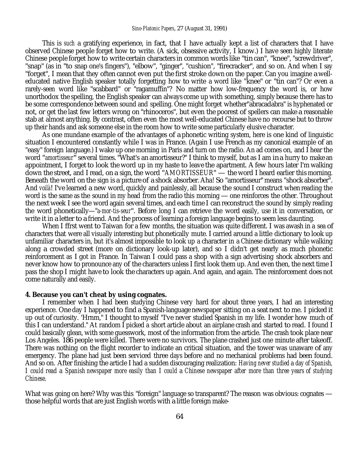This is *such* a gratifying experience, in fact, that I have actually kept a list of characters that I have observed Chinese people forget how to write. (A sick, obsessive activity, I know.) I have seen highly literate Chinese people forget how to write certain characters in common words like "tin can", "knee", "screwdriver", "snap" (as in "to snap one's fingers"), "elbow", "ginger", "cushion", "firecracker", and so on. And when I say "forget", I mean that they often cannot even put the first stroke down on the paper. Can you imagine a welleducated native English speaker totally forgetting how to write a word like "knee" or "tin can"? Or even a rarely-seen word like "scabbard" or "ragamuffin"? No matter how low-frequency the word is, or how unorthodox the spelling, the English speaker can always come up with something, simply because there has to be some correspondence between sound and spelling. One might forget whether"abracadabra" is hyphenated or not, or get the last few letters wrong on "rhinoceros", but even the poorest of spellers can make a reasonable stab at almost anything. By contrast, often even the most well-educated Chinese have no recourse but to throw up their hands and ask someone else in the room how to write some particularly elusive character.

As one mundane exarnple of the advantages of a phonetic writing system, here is one kind of linguistic situation I encountered constantly while I was in France. (Again I use French as my canonical example of an "easy" foreign language.) I wake up one morning in Paris and turn on the radio. An ad comes on, and I hear the word "*amortisseur*" several times. "What's an amortisseur?" I think to myself, but as I am in a hurry to make an appointment, I forget to look the word up in my haste to leave the apartment. A few hours later I'm walking down the street, and I read, on a sign, the word "*AMORTISSEUR*" — the word I heard earlier this morning. Beneath the word on the sign is a picture of a shock absorber. Aha! So "amortisseur" means "shock absorber". And *voilà*! I've learned a new word, quickly and painlessly, all because the sound I construct when reading the word is the same as the sound in my head from the radio this morning — one reinforces the other. Throughout the next week I see the word again several times, and each time I can reconstruct the sound by simply reading the word phonetically—"*a-mor-tis-seur*". Before long I can retrieve the word easily, use it in conversation, or write it in a letter to a friend. And the process of learning a foreign language begins to seem less daunting.

When I ffrst went to Taiwan for a few months, the situation was quite different. I was awash in a sea of characters that were all visually interesting but phonetically mute. I carried around a little dictionary to look up unfamiliar characters in, but it's almost impossible to look up a character in a Chinese dictionary while walking along a crowded street (more on dictionary look-up later), and so I didn't get nearly as much phonetic reinforcement as I got in France. In Taiwan I could pass a shop with a sign advertising shock absorbers and never know how to pronounce any of the characters unless I first look them up. And even then, the next time I pass the shop I rnight have to look the characters up again. And again, and again. The reinforcement does not come naturally and easily.

#### **4. Because you can't cheat by using cognates.**

I remember when I had been studying Chinese very hard for about three years, I had an interesting experience. One day I happened to find a Spanish-language newspaper sitting on a seat next to me. I picked it up out of curiosity. 'Hrnm," I thought to myself "I've never studied Spanish in my life. I wonder how much of this I can understand." At random I picked a short article about an airplane crash and started to read. I found I could basically glean, with some guesswork, most of the information from the article. The crash took place near Los Angeles. 186 people were killed. There were no survivors. The plane crashed just one minute after takeoff. There was nothing on the flight recorder to indicate an critical situation, and the tower was unaware of any emergency. The plane had just been serviced three days before and no mechanical problems had been found. And so on. After finishing the article I had a sudden discouraging realization: *Having never studied a day of Spanish, I could read a Spanish newspaper more easily than I could a Chinese newspaper after more than three years of studying Chinese.*

What was going on here? Why was this "foreign" language so transparent? The reason was obvious: cognates those helpful words that are just English words with a little foreign make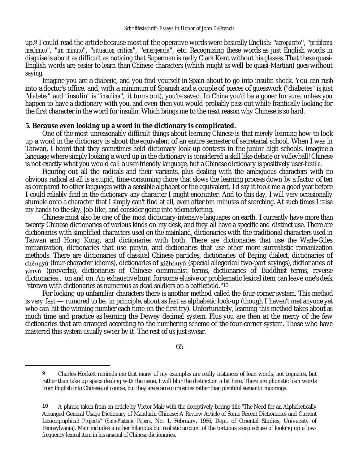up.<sup>9</sup> I could read the article because most of the operative words were basically English: "*aeropuerto*", "*problema mechnico*", "*un minuto*", "*situacion critica*", "*emergencia*", etc. Recognizing these words as just English words in disguise is about as difficult as noticing that Superman is really Clark Kent without his glasses. That these quasi-English words are easier to learn than Chinese characters (which rnight as well be quasi-Martian) goes without saying.

Imagine you are a diabeıic, and you find yourself in Spain about to go into insulin shock. You can rush into a doctor's office, and, with a minimum of Spanish and a couple of pieces of guesswork ("diabetes" is just "*diabetes*" and "insulin" is "*insulina*", it turns out), you're saved. In China you'd be a goner for sure, unless you happen to have a dictionary with you, and even then you would probably pass out while frantically looking for the first character in the word for insulin. Which brings me to the next reason why Chinese is so hard.

## **5. Because even looking up a word in the dictionary is complicated.**

One of the most unreasonably difficult things about learning Chinese is that merely learning how to look up a word in the dictionary is about the equivalent of an entire semester of secretarial school. When I was in Taiwan, I heard that they sometimes held dictionary look-up contests in the junior high schools. Imagine a language where simply looking a word up in the dictionary is considered a skill like debate or volleyball! Chinese is not exactly what you would call a user-friendly language, but a Chinese dictionary is positively user-*hostile*.

Figuring out all the radicals and their variants, plus dealing with the ambiguous characters with no obvious radical at all is a stupid, time-consuming chore that slows the learning process down by a factor of ten as compared to other languages with a sensible alphabet or the equivalent. I'd say it took me a good year before I could reliably find in the dictionary any character I might encounter. And to this day, I will very occasionally stumble onto a character that I simply can't find at *all*, even after ten minutes of searching. At such times I raise my hands to the sky, Job-like, and consider going into telemarketing.

Chinese must also be one of the most dictionary-intensive languages on earth. I currently have more than twenty Chinese dictionaries of various kinds on my desk, and they all have a specific and distinct use. There are dictionaries with simplified characters used on the mainland, dictionaries with the traditional characters used in Taiwan and Hong Kong, and dictionaries with both. There are dictionaries that use the Wade-Giles romanization, dictionaries that use pinyin, and dictionaries that use other more surrealistic romanization methods. There are dictionaries of classical Chinese particles, dictionaries of Beijing dialect, dictionaries of chéngyǔ (four-character idioms), dictionaries of xiēhòuyǔ (special allegorical two-part sayings), dictionaries of (proverbs), dictionaries of Chinese communist terms, dictionaries of Buddhist terms, reverse dictionaries... on and on. An exhaustive hunt for some elusive or problematic lexical item can leave one's desk "strewn with dictionaries as numerous as dead soldiers on a battlefield."10

For looking up unfamiliar characters there is another method called the four-corner system. This method is very fast — rumored to be, in principle, about as fast as alphabetic look-up (though I haven't met anyone yet who can hit the winning number each time on the first try). Unfortunately, learning this method takes about as much time and practice as learning the Dewey decimal system. Plus you are then at the mercy of the few dictionaries that are arranged according to the numbering scheme of the four-corner system. Those who have mastered this system usually swear by it. The rest of us just swear.

65

<sup>9</sup> Charles Hockett reminds me that many of my examples are really instances of loan words, not cognates, but rather than take up space dealing with the issue, I will blur the distinction a bit here. There are phonetic loan words from English into Chinese, of course, but they are scarce curiosities rather than plentiful semantic moorings.

<sup>10</sup> A phrase taken from an article by Victor Mair with the deceptively boring title "The Need for an Alphabetically Arranged General Usage Dictionary of Mandarin Chinese: A Review Article of Some Recent Dictionaries and Current Lexicographical Projects" (*Sino-Platonic Papers*, No. 1, February, 1986, Dept. of Oriental Studies, University of Pennsylvania). Mair includes a rather hilarious but realistic account of the tortuous steeplechase of looking up a lowfrequency lexical item in his arsenal of Chinese dictionaries.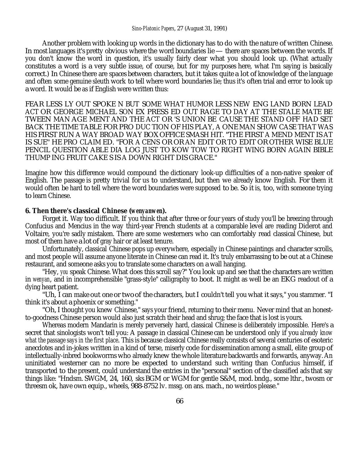Another problem with looking up words in the dictionary has to do with the nature of written Chinese. In most languages it's pretty obvious where the word boundaries lie — there are spaces between the words. If you don't know the word in question, it's usually fairly clear what you should look up. (What actually constitutes a word is a very subtle issue, of course, but for my purposes here, what I'm saying is basically correct.) In Chinese there are spaces between characters, but it takes quite a lot of knowledge of the language and often some genuine sleuth work to tell where word boundaries lie; thus it's often trial and error to look up a word. It would be as if English were written thus:

FEAR LESS LY OUT SPOKE N BUT SOME WHAT HUMOR LESS NEW ENG LAND BORN LEAD ACT OR GEORGE MICHAEL SON EX PRESS ED OUT RAGE TO DAY AT THE STALE MATE BE TWEEN MAN AGE MENT AND THE ACT OR 'S UNION BE CAUSE THE STAND OFF HAD SET BACK THE TIME TABLE FOR PRO DUC TION OF HIS PLAY, A ONE MAN SHOW CASE THAT WAS HIS FIRST RUN A WAY BROAD WAY BOX OFFICE SMASH HIT. "THE FIRST A MEND MENT IS AT IS SUE" HE PRO CLAIM ED. "FOR A CENS OR OR AN EDIT OR TO EDIT OR OTHER WISE BLUE PENCIL QUESTION ABLE DIA LOG JUST TO KOW TOW TO RIGHT WING BORN AGAIN BIBLE THUMP ING FRUIT CAKE S IS A DOWN RIGHT DIS GRACE."

Imagine how this difference would compound the dictionary look-up difficulties of a non-native speaker of English. The passage is pretty trivial for us to understand, but then we already know English. For them it would often be hard to tell where the word boundaries were supposed to be. So it is, too, with someone trying to learn Chinese.

#### **6. Then there's classical Chinese (***wenyanwen***).**

Forget it. Way too difficult. If you think that after three or four years of study you'll be breezing through Confucius and Mencius in the way third-year French students at a comparable level are reading Diderot and Voltaire, you're sadly mistaken. There are some westerners who can comfortably read classical Chinese, but most of them have a lot of gray hair or at least tenure.

Unfortunately, classical Chinese pops up everywhere, especially in Chinese paintings and character scrolls, and most people will assume anyone literate in Chinese can read it. It's truly embarrassing to be out at a Chinese restaurant, and someone asks you to translate some characters on a wall hanging.

"Hey, *you* speak Chinese. What does this scroll say?" You look up and see that the characters are written in *wenyan*, and in incomprehensible "grass-style" calligraphy to boot. It might as well be an EKG readout of a dying heart patient.

"Uh, I can make out one or two of the characters, but I couldn't tell you what it says," you stamrner. "I think it's about a phoenix or something."

"Oh, I thought you knew Chinese," says your friend, returning to their menu. Never mind that an honestto-goodness Chinese person would also just scratch their head and shrug; the face that is lost is yours.

Whereas modern Mandarin is merely perversely hard, classical Chinese is deliberately irnpossible. Here's a secret that sinologists won't tell you: A passage in classical Chinese can be understood only if you *already know what the passage says in the first place*. This is because classical Chinese really consists of several centuries of esoteric anecdotes and in-jokes written in a kind of terse, miserly code for dissemination arnong a small, elite group of intellectually-inbred bookworrns who already knew the whole literature backwards and forwards, anyway. An uninitiated westerner can no more be expected to understand such writing than Confucius himself, if transported to the present, could understand the entries in the "personal" section of the classified ads that say things like: "Hndsm. SWGM, 24, 160, sks BGM or WGM for gentle S&M, mod. bndg., some lthr., twosm or threesm ok, have own equip., wheels, 988-8752 lv. mssg. on ans. mach., no weirdos please."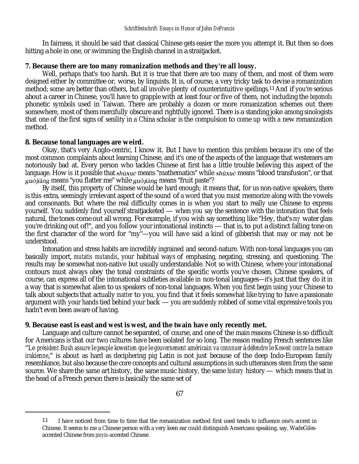In fairness, it should be said that classical Chinese gets easier the more you attempt it. But then so does hitting a hole in one, or swimming the English channel in a straitjacket.

## **7. Because there are too many romanization methods and they're all lousy.**

Well, perhaps that's too harsh. But it is true that there are too many of them, and most of them were designed either by committee or, worse, by linguists. It is, of course, a very tricky task to devise a romanization method; some are better than others, but all involve plenty of counterintuitive spellings.11 And if you're serious about a career in Chinese, you'll have to grapple with at least four or five of them, not including the *bopomofu* phonetic symbols used in Taiwan. There are probably a dozen or more romanization schemes out there somewhere, most of them mercifully obscure and rightfully ignored. There is a standing joke among sinologists that one of the first signs of senility in a China scholar is the compulsion to come up with a new romanization method.

## **8. Because tonal languages are weird.**

Okay, that's very Anglo-centric, I know it. But I have to mention this problem because it's one of the most common complaints about learning Chinese, and it's one of the aspects of the language that westemers are notoriously bad at. Every person who tackles Chinese at first has a little trouble believing this aspect of the language. How is it possible that  $sh\`{u}x\`{u}\acute{e}$  means "mathematics" while  $sh\`{u}x\`{u}\grave{e}$  means "blood transfusion", or that guòjiǎng means "you flatter me" while guòjiàng means "fruit paste"?

By itself, this property of Chinese would be hard enough; it means that, for us non-native speakers, there is this extra, seemingly irrelevant aspect of the sound of a word that you must rnemorize along with the vowels and consonants. But where the real difficulty comes in is when you start to really use Chinese to express yourself. You suddenly find yourself straitjacketed — when you say the sentence with the intonation that feels natural, the tones come out all wrong. For example, if you wish say something like "Hey, that's *my* water glass you're drinking out of!", and you follow your intonational instincts — that is, to put a distinct falling tone on the first character of the word for "my"—you will have said a kind of gibberish that may or may not be understood.

Intonation and stress habits are incredibly ingrained and second-nature. With non-tonal languages you can basically import, *mutatis mutandis*, your habitual ways of emphasing, negating, stressing, and questioning. The results may be somewhat non-native but usually understandable. Not so with Chinese, where your intonational contours must always obey the tonal constraints of the specific words you've chosen. Chinese speakers, of course, can express all of the intonational subtleties available in non-tonal languages—it's just that they do it in a way that is somewhat alien to us speakers of non-tonal languages. When you first begin using your Chinese to talk about subjects that actually *matter* to you, you find that it feels somewhat like trying to have a passionate argument with your hands tied behind your back — you are suddenly robbed of some vital expressive tools you hadn't even been aware of having.

### **9. Because east is east and west is west, and the twain have only recently met.**

Language and culture cannot be separated, of course, and one of the main reasons Chinese is so difficult for Americans is that our two cultures have been isolated for so long. The reason reading French sentences like "*Le président Bush assure le peuple koweitien que le gouvernement américain va connnuer à défendre le Koweit contre la menace irakienne*," is about as hard as deciphering pig Latin is not just because of the deep Indo-European family resemblance, but also because the core concepts and cultural assumptions in such utterances stem from the same source. We share the same art history, the same music history, the same *history* history — which means that in the head of a French person there is basically the same set of

<sup>11</sup> I have noticed from time to time that the romanization method first used tends to influence one's accent in Chinese. It seems to me a Chinese person with a very keen ear could distinguish Americans speaking, say, WadeGilesaccented Chinese from *pinyin*-accented Chinese.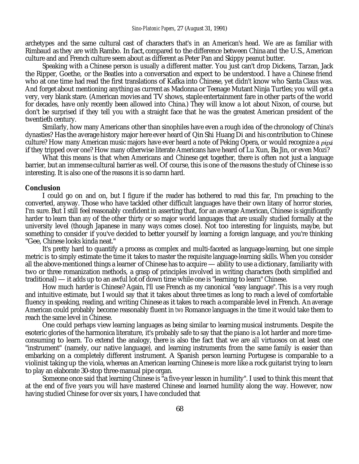archetypes and the same cultural cast of characters that's in an American's head. We are as familiar with Rimbaud as they are with Rambo. In fact, compared to the difference between China and the U.S., American culture and and French culture seem about as different as Peter Pan and Skippy peanut butter.

Speaking with a Chinese person is usually a different matter. You just can't drop Dickens, Tarzan, Jack the Ripper, Goethe, or the Beatles into a conversation and expect to be understood. I have a Chinese friend who at one time had read the first translations of Kafka into Chinese, yet didn't know who Santa Claus was. And forget about mentioning anything as current as Madonna or Teenage Mutant Ninja Turtles; you will get a very, very blank stare. (American movies and TV shows, staple entertainment fare in other parts of the world for decades, have only recently been allowed into China.) They will know a lot about Nixon, of course, but don't be surprised if they tell you with a straight face that he was the greatest American president of the twentieth century.

Similarly, how many Americans other than sinophiles have even a rough idea of the chronology of China's dynasties? Has the average history major here ever heard of Qin Shi Huang Di and his contribution to Chinese culture? How many American music majors have ever heard a note of Peking Opera, or would recognize a *pipa* if they tripped over one? How many otherwise literate Americans have heard of Lu Xun, Ba Jin, or even Mozi?

What this means is that when Americans and Chinese get together, there is often not just a language barrier, but an immense cultural barrier as well. Of course, this is one of the reasons the study of Chinese is so interesting. It is also one of the reasons it is so darnn hard.

#### **Conclusion**

I could go on and on, but I figure if the reader has bothered to read this far, I'm preaching to the converted, anyway. Those who have tackled other difficult languages have their own litany of horror stories, I'm sure. But I still feel reasonably confident in asserting that, for an average American, Chinese is significantly harder to learn than *any* of the other thirty or so major world languages that are usually studied formally at the university level (though Japanese in many ways comes close). Not too interesting for linguists, maybe, but something to consider if you've decided to better yourself by learning a foreign language, and you're thinking "Gee, Chinese looks kinda neat."

It's pretty hard to quantify a process as complex and multi-faceted as language-learning, but one simple metric is to simply estimate the time it takes to master the requisite language-learning skills. When you consider all the above-mentioned things a learner of Chinese has to acquire — ability to use a dictionary, familiarity with two or three romanization methods, a grasp of principles involved in writing characters (both sirnplified and traditional) — it adds up to an awful lot of down time while one is "learning to learn" Chinese.

How much harder is Chinese? Again, I'll use French as my canonical "easy language". This is a very rough and intuitive estimate, but I would say that it takes about three times as long to reach a level of comfortable fluency in speaking, reading, and writing Chinese as it takes to reach a comparable level in French. An average American could probably become reasonably fluent in *two* Romance languages in the time it would take them to reach the same level in Chinese.

One could perhaps view learning languages as being similar to learning musical instruments. Despite the esoteric glories of the harmonica literature, it's probably safe to say that the piano is a lot harder and more timeconsuming to learn. To extend the analogy, there is also the fact that we are *all* virtuosos on at least one "instrument" (namely, our native language), and learning instruments from the same family is easier than embarking on a completely different instrument. A Spanish person learning Portugese is comparable to a violinist taking up the viola, whereas an American learning Chinese is more like a rock guitarist trying to learn to play an elaborate 30-stop three-manual pipe organ.

Someone once said that learning Chinese is "a five-year lesson in humility". I used to think this meant that at the end of five years you will have mastered Chinese and learned humility along the way. However, now having studied Chinese for over six years, I have concluded that